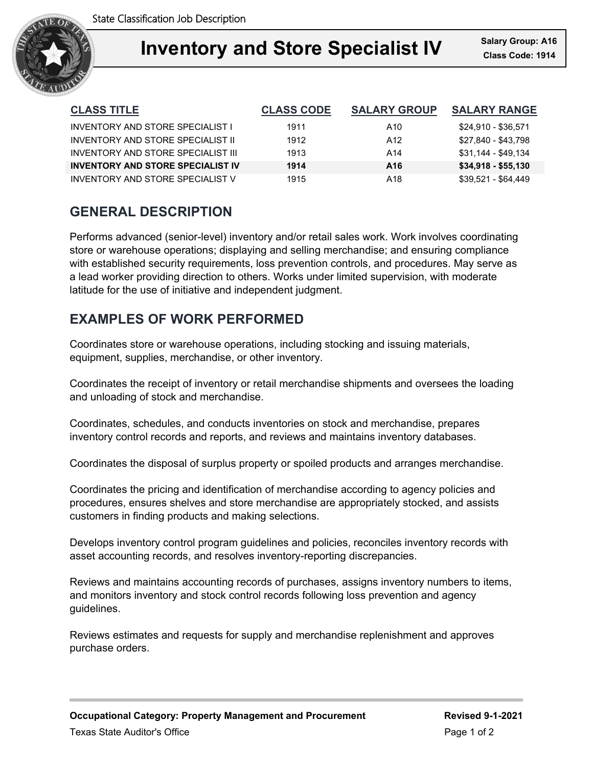

| <b>CLASS TITLE</b>                       | <b>CLASS CODE</b> | <b>SALARY GROUP</b> | <b>SALARY RANGE</b> |
|------------------------------------------|-------------------|---------------------|---------------------|
| INVENTORY AND STORE SPECIALIST I         | 1911              | A10                 | \$24,910 - \$36,571 |
| INVENTORY AND STORE SPECIALIST II        | 1912              | A12                 | \$27,840 - \$43,798 |
| INVENTORY AND STORE SPECIAL IST III      | 1913              | A14                 | \$31,144 - \$49,134 |
| <b>INVENTORY AND STORE SPECIALIST IV</b> | 1914              | A <sub>16</sub>     | $$34,918 - $55,130$ |
| INVENTORY AND STORE SPECIALIST V         | 1915              | A18                 | $$39.521 - $64.449$ |

# **GENERAL DESCRIPTION**

Performs advanced (senior-level) inventory and/or retail sales work. Work involves coordinating store or warehouse operations; displaying and selling merchandise; and ensuring compliance with established security requirements, loss prevention controls, and procedures. May serve as a lead worker providing direction to others. Works under limited supervision, with moderate latitude for the use of initiative and independent judgment.

# **EXAMPLES OF WORK PERFORMED**

Coordinates store or warehouse operations, including stocking and issuing materials, equipment, supplies, merchandise, or other inventory.

Coordinates the receipt of inventory or retail merchandise shipments and oversees the loading and unloading of stock and merchandise.

Coordinates, schedules, and conducts inventories on stock and merchandise, prepares inventory control records and reports, and reviews and maintains inventory databases.

Coordinates the disposal of surplus property or spoiled products and arranges merchandise.

Coordinates the pricing and identification of merchandise according to agency policies and procedures, ensures shelves and store merchandise are appropriately stocked, and assists customers in finding products and making selections.

Develops inventory control program guidelines and policies, reconciles inventory records with asset accounting records, and resolves inventory-reporting discrepancies.

Reviews and maintains accounting records of purchases, assigns inventory numbers to items, and monitors inventory and stock control records following loss prevention and agency guidelines.

Reviews estimates and requests for supply and merchandise replenishment and approves purchase orders.